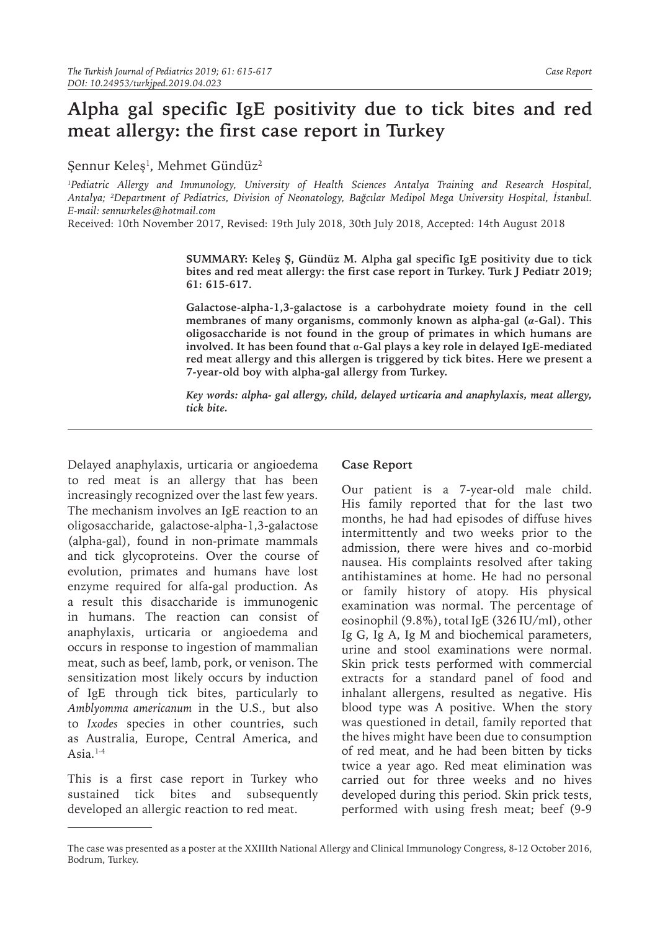## **Alpha gal specific IgE positivity due to tick bites and red meat allergy: the first case report in Turkey**

Şennur Keleş<sup>1</sup> , Mehmet Gündüz<sup>2</sup>

*1 Pediatric Allergy and Immunology, University of Health Sciences Antalya Training and Research Hospital, Antalya; 2 Department of Pediatrics, Division of Neonatology, Bağcılar Medipol Mega University Hospital, İstanbul. E-mail: sennurkeles@hotmail.com*

Received: 10th November 2017, Revised: 19th July 2018, 30th July 2018, Accepted: 14th August 2018

**SUMMARY: Keleş Ş, Gündüz M. Alpha gal specific IgE positivity due to tick bites and red meat allergy: the first case report in Turkey. Turk J Pediatr 2019; 61: 615-617.**

**Galactose-alpha-1,3-galactose is a carbohydrate moiety found in the cell membranes of many organisms, commonly known as alpha-gal (***α***-Gal). This oligosaccharide is not found in the group of primates in which humans are involved. It has been found that** α**-Gal plays a key role in delayed IgE-mediated red meat allergy and this allergen is triggered by tick bites. Here we present a 7-year-old boy with alpha-gal allergy from Turkey.**

*Key words: alpha- gal allergy, child, delayed urticaria and anaphylaxis, meat allergy, tick bite.*

Delayed anaphylaxis, urticaria or angioedema to red meat is an allergy that has been increasingly recognized over the last few years. The mechanism involves an IgE reaction to an oligosaccharide, galactose-alpha-1,3-galactose (alpha-gal), found in non-primate mammals and tick glycoproteins. Over the course of evolution, primates and humans have lost enzyme required for alfa-gal production. As a result this disaccharide is immunogenic in humans. The reaction can consist of anaphylaxis, urticaria or angioedema and occurs in response to ingestion of mammalian meat, such as beef, lamb, pork, or venison. The sensitization most likely occurs by induction of IgE through tick bites, particularly to *Amblyomma americanum* in the U.S., but also to *Ixodes* species in other countries, such as Australia, Europe, Central America, and Asia. $1-4$ 

This is a first case report in Turkey who sustained tick bites and subsequently developed an allergic reaction to red meat.

## **Case Report**

Our patient is a 7-year-old male child. His family reported that for the last two months, he had had episodes of diffuse hives intermittently and two weeks prior to the admission, there were hives and co-morbid nausea. His complaints resolved after taking antihistamines at home. He had no personal or family history of atopy. His physical examination was normal. The percentage of eosinophil (9.8%), total IgE (326 IU/ml), other Ig G, Ig A, Ig M and biochemical parameters, urine and stool examinations were normal. Skin prick tests performed with commercial extracts for a standard panel of food and inhalant allergens, resulted as negative. His blood type was A positive. When the story was questioned in detail, family reported that the hives might have been due to consumption of red meat, and he had been bitten by ticks twice a year ago. Red meat elimination was carried out for three weeks and no hives developed during this period. Skin prick tests, performed with using fresh meat; beef (9-9

The case was presented as a poster at the XXIIIth National Allergy and Clinical Immunology Congress, 8-12 October 2016, Bodrum, Turkey.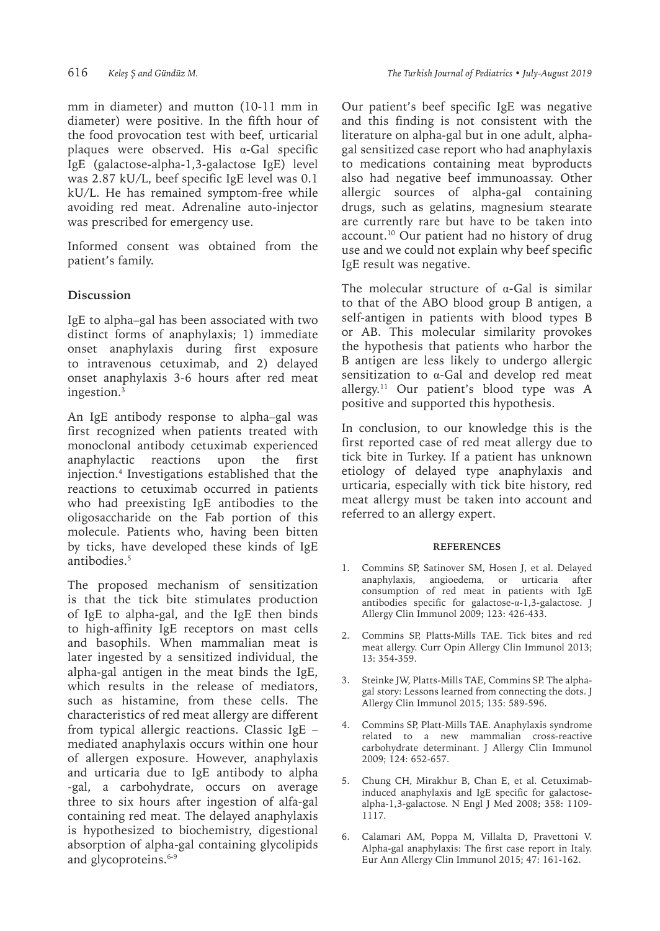mm in diameter) and mutton (10-11 mm in diameter) were positive. In the fifth hour of the food provocation test with beef, urticarial plaques were observed. His α-Gal specific IgE (galactose-alpha-1,3-galactose IgE) level was 2.87 kU/L, beef specific IgE level was 0.1 kU/L. He has remained symptom-free while avoiding red meat. Adrenaline auto-injector was prescribed for emergency use.

Informed consent was obtained from the patient's family.

## **Discussion**

IgE to alpha–gal has been associated with two distinct forms of anaphylaxis; 1) immediate onset anaphylaxis during first exposure to intravenous cetuximab, and 2) delayed onset anaphylaxis 3-6 hours after red meat ingestion.3

An IgE antibody response to alpha–gal was first recognized when patients treated with monoclonal antibody cetuximab experienced anaphylactic reactions upon the first injection.4 Investigations established that the reactions to cetuximab occurred in patients who had preexisting IgE antibodies to the oligosaccharide on the Fab portion of this molecule. Patients who, having been bitten by ticks, have developed these kinds of IgE antibodies.<sup>5</sup>

The proposed mechanism of sensitization is that the tick bite stimulates production of IgE to alpha-gal, and the IgE then binds to high-affinity IgE receptors on mast cells and basophils. When mammalian meat is later ingested by a sensitized individual, the alpha-gal antigen in the meat binds the IgE, which results in the release of mediators, such as histamine, from these cells. The characteristics of red meat allergy are different from typical allergic reactions. Classic IgE – mediated anaphylaxis occurs within one hour of allergen exposure. However, anaphylaxis and urticaria due to IgE antibody to alpha -gal, a carbohydrate, occurs on average three to six hours after ingestion of alfa-gal containing red meat. The delayed anaphylaxis is hypothesized to biochemistry, digestional absorption of alpha-gal containing glycolipids and glycoproteins.<sup>6-9</sup>

Our patient's beef specific IgE was negative and this finding is not consistent with the literature on alpha-gal but in one adult, alphagal sensitized case report who had anaphylaxis to medications containing meat byproducts also had negative beef immunoassay. Other allergic sources of alpha-gal containing drugs, such as gelatins, magnesium stearate are currently rare but have to be taken into account.<sup>10</sup> Our patient had no history of drug use and we could not explain why beef specific IgE result was negative.

The molecular structure of  $\alpha$ -Gal is similar to that of the ABO blood group B antigen, a self-antigen in patients with blood types B or AB. This molecular similarity provokes the hypothesis that patients who harbor the B antigen are less likely to undergo allergic sensitization to α-Gal and develop red meat allergy.<sup>11</sup> Our patient's blood type was A positive and supported this hypothesis.

In conclusion, to our knowledge this is the first reported case of red meat allergy due to tick bite in Turkey. If a patient has unknown etiology of delayed type anaphylaxis and urticaria, especially with tick bite history, red meat allergy must be taken into account and referred to an allergy expert.

## **REFERENCES**

- 1. Commins SP, Satinover SM, Hosen J, et al. Delayed anaphylaxis, angioedema, or urticaria after consumption of red meat in patients with IgE antibodies specific for galactose-α-1,3-galactose. J Allergy Clin Immunol 2009; 123: 426-433.
- 2. Commins SP, Platts-Mills TAE. Tick bites and red meat allergy. Curr Opin Allergy Clin Immunol 2013; 13: 354-359.
- 3. Steinke JW, Platts-Mills TAE, Commins SP. The alphagal story: Lessons learned from connecting the dots. J Allergy Clin Immunol 2015; 135: 589-596.
- 4. Commins SP, Platt-Mills TAE. Anaphylaxis syndrome related to a new mammalian cross-reactive carbohydrate determinant. J Allergy Clin Immunol 2009; 124: 652-657.
- 5. Chung CH, Mirakhur B, Chan E, et al. Cetuximabinduced anaphylaxis and IgE specific for galactosealpha-1,3-galactose. N Engl J Med 2008; 358: 1109- 1117.
- 6. Calamari AM, Poppa M, Villalta D, Pravettoni V. Alpha-gal anaphylaxis: The first case report in Italy. Eur Ann Allergy Clin Immunol 2015; 47: 161-162.